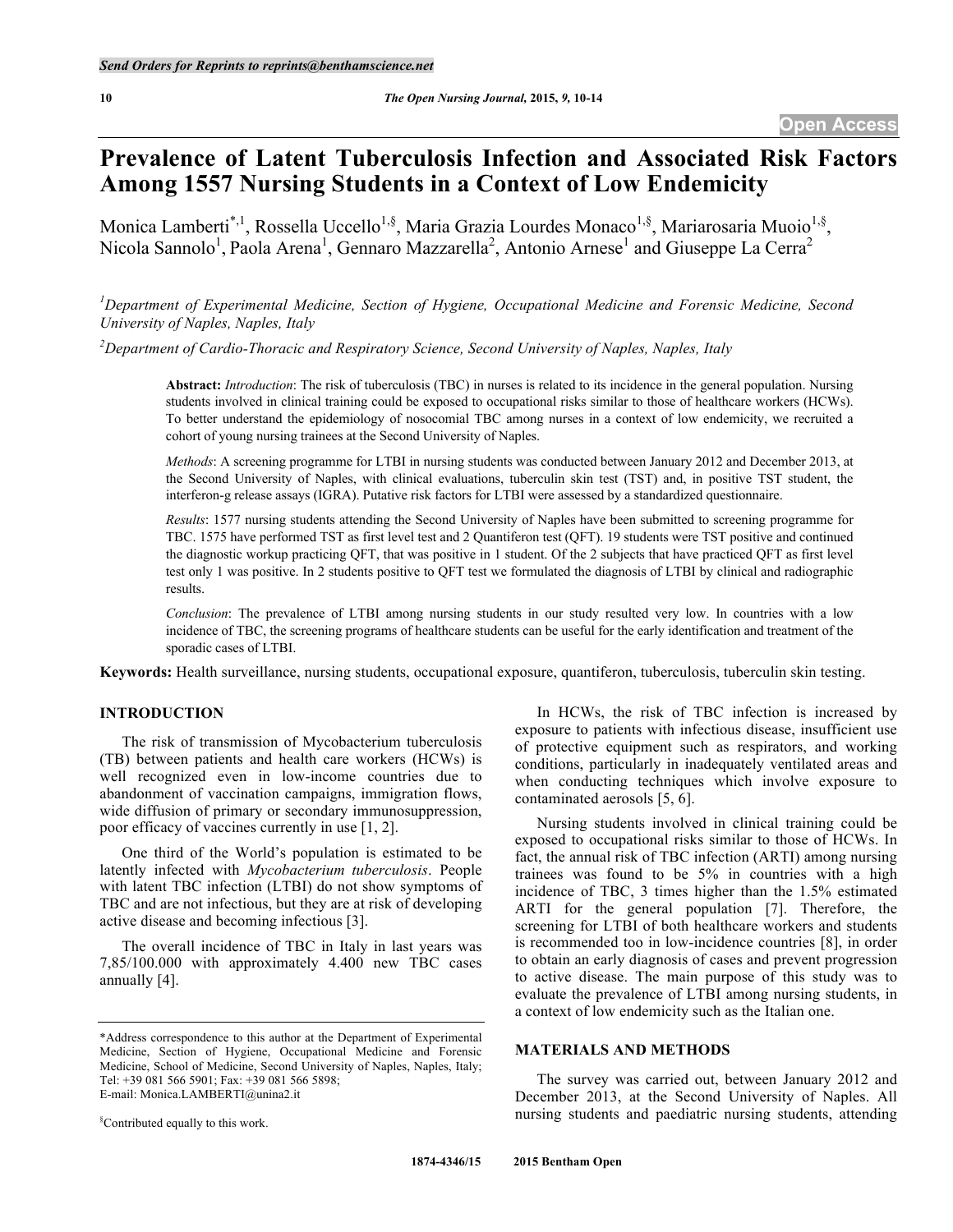# **Prevalence of Latent Tuberculosis Infection and Associated Risk Factors Among 1557 Nursing Students in a Context of Low Endemicity**

Monica Lamberti<sup>\*,1</sup>, Rossella Uccello<sup>1,§</sup>, Maria Grazia Lourdes Monaco<sup>1,§</sup>, Mariarosaria Muoio<sup>1,§</sup>, Nicola Sannolo<sup>1</sup>, Paola Arena<sup>1</sup>, Gennaro Mazzarella<sup>2</sup>, Antonio Arnese<sup>1</sup> and Giuseppe La Cerra<sup>2</sup>

*1 Department of Experimental Medicine, Section of Hygiene, Occupational Medicine and Forensic Medicine, Second University of Naples, Naples, Italy*

*2 Department of Cardio-Thoracic and Respiratory Science, Second University of Naples, Naples, Italy*

**Abstract:** *Introduction*: The risk of tuberculosis (TBC) in nurses is related to its incidence in the general population. Nursing students involved in clinical training could be exposed to occupational risks similar to those of healthcare workers (HCWs). To better understand the epidemiology of nosocomial TBC among nurses in a context of low endemicity, we recruited a cohort of young nursing trainees at the Second University of Naples.

*Methods*: A screening programme for LTBI in nursing students was conducted between January 2012 and December 2013, at the Second University of Naples, with clinical evaluations, tuberculin skin test (TST) and, in positive TST student, the interferon-g release assays (IGRA). Putative risk factors for LTBI were assessed by a standardized questionnaire.

*Results*: 1577 nursing students attending the Second University of Naples have been submitted to screening programme for TBC. 1575 have performed TST as first level test and 2 Quantiferon test (QFT). 19 students were TST positive and continued the diagnostic workup practicing QFT, that was positive in 1 student. Of the 2 subjects that have practiced QFT as first level test only 1 was positive. In 2 students positive to QFT test we formulated the diagnosis of LTBI by clinical and radiographic results.

*Conclusion*: The prevalence of LTBI among nursing students in our study resulted very low. In countries with a low incidence of TBC, the screening programs of healthcare students can be useful for the early identification and treatment of the sporadic cases of LTBI.

**Keywords:** Health surveillance, nursing students, occupational exposure, quantiferon, tuberculosis, tuberculin skin testing.

# **INTRODUCTION**

The risk of transmission of Mycobacterium tuberculosis (TB) between patients and health care workers (HCWs) is well recognized even in low-income countries due to abandonment of vaccination campaigns, immigration flows, wide diffusion of primary or secondary immunosuppression, poor efficacy of vaccines currently in use [1, 2].

One third of the World's population is estimated to be latently infected with *Mycobacterium tuberculosis*. People with latent TBC infection (LTBI) do not show symptoms of TBC and are not infectious, but they are at risk of developing active disease and becoming infectious [3].

The overall incidence of TBC in Italy in last years was 7,85/100.000 with approximately 4.400 new TBC cases annually [4].

§ Contributed equally to this work.

In HCWs, the risk of TBC infection is increased by exposure to patients with infectious disease, insufficient use of protective equipment such as respirators, and working conditions, particularly in inadequately ventilated areas and when conducting techniques which involve exposure to contaminated aerosols [5, 6].

Nursing students involved in clinical training could be exposed to occupational risks similar to those of HCWs. In fact, the annual risk of TBC infection (ARTI) among nursing trainees was found to be 5% in countries with a high incidence of TBC, 3 times higher than the 1.5% estimated ARTI for the general population [7]. Therefore, the screening for LTBI of both healthcare workers and students is recommended too in low-incidence countries [8], in order to obtain an early diagnosis of cases and prevent progression to active disease. The main purpose of this study was to evaluate the prevalence of LTBI among nursing students, in a context of low endemicity such as the Italian one.

## **MATERIALS AND METHODS**

The survey was carried out, between January 2012 and December 2013, at the Second University of Naples. All nursing students and paediatric nursing students, attending

<sup>\*</sup>Address correspondence to this author at the Department of Experimental Medicine, Section of Hygiene, Occupational Medicine and Forensic Medicine, School of Medicine, Second University of Naples, Naples, Italy; Tel: +39 081 566 5901; Fax: +39 081 566 5898; E-mail: Monica.LAMBERTI@unina2.it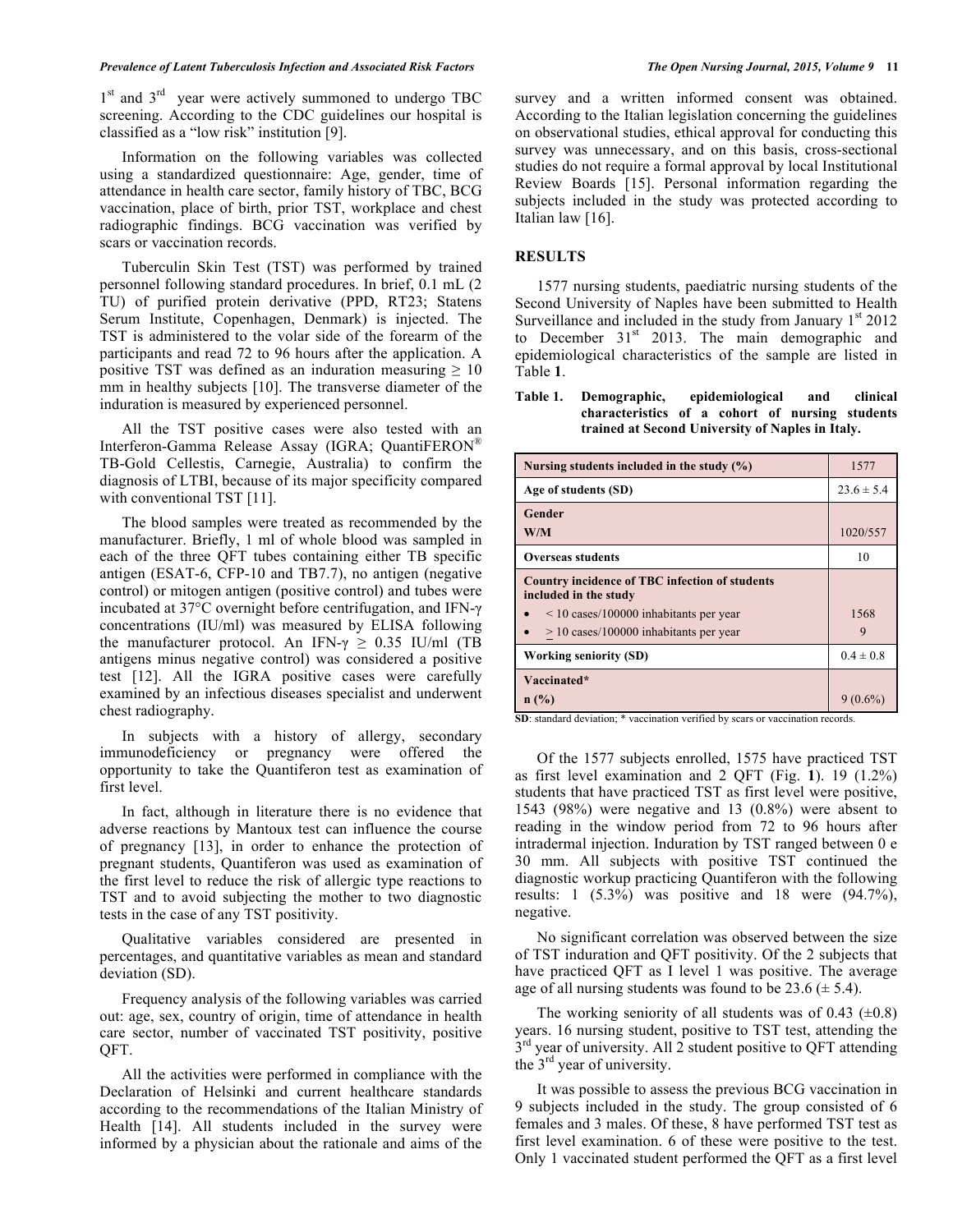$1<sup>st</sup>$  and  $3<sup>rd</sup>$  year were actively summoned to undergo TBC screening. According to the CDC guidelines our hospital is classified as a "low risk" institution [9].

Information on the following variables was collected using a standardized questionnaire: Age, gender, time of attendance in health care sector, family history of TBC, BCG vaccination, place of birth, prior TST, workplace and chest radiographic findings. BCG vaccination was verified by scars or vaccination records.

Tuberculin Skin Test (TST) was performed by trained personnel following standard procedures. In brief, 0.1 mL (2 TU) of purified protein derivative (PPD, RT23; Statens Serum Institute, Copenhagen, Denmark) is injected. The TST is administered to the volar side of the forearm of the participants and read 72 to 96 hours after the application. A positive TST was defined as an induration measuring  $\geq 10$ mm in healthy subjects [10]. The transverse diameter of the induration is measured by experienced personnel.

All the TST positive cases were also tested with an Interferon-Gamma Release Assay (IGRA; QuantiFERON® TB-Gold Cellestis, Carnegie, Australia) to confirm the diagnosis of LTBI, because of its major specificity compared with conventional TST [11].

The blood samples were treated as recommended by the manufacturer. Briefly, 1 ml of whole blood was sampled in each of the three QFT tubes containing either TB specific antigen (ESAT-6, CFP-10 and TB7.7), no antigen (negative control) or mitogen antigen (positive control) and tubes were incubated at 37°C overnight before centrifugation, and IFN-γ concentrations (IU/ml) was measured by ELISA following the manufacturer protocol. An IFN- $\gamma \geq 0.35$  IU/ml (TB antigens minus negative control) was considered a positive test [12]. All the IGRA positive cases were carefully examined by an infectious diseases specialist and underwent chest radiography.

In subjects with a history of allergy, secondary immunodeficiency or pregnancy were offered the opportunity to take the Quantiferon test as examination of first level.

In fact, although in literature there is no evidence that adverse reactions by Mantoux test can influence the course of pregnancy [13], in order to enhance the protection of pregnant students, Quantiferon was used as examination of the first level to reduce the risk of allergic type reactions to TST and to avoid subjecting the mother to two diagnostic tests in the case of any TST positivity.

Qualitative variables considered are presented in percentages, and quantitative variables as mean and standard deviation (SD).

Frequency analysis of the following variables was carried out: age, sex, country of origin, time of attendance in health care sector, number of vaccinated TST positivity, positive QFT.

All the activities were performed in compliance with the Declaration of Helsinki and current healthcare standards according to the recommendations of the Italian Ministry of Health [14]. All students included in the survey were informed by a physician about the rationale and aims of the

survey and a written informed consent was obtained. According to the Italian legislation concerning the guidelines on observational studies, ethical approval for conducting this survey was unnecessary, and on this basis, cross-sectional studies do not require a formal approval by local Institutional Review Boards [15]. Personal information regarding the subjects included in the study was protected according to Italian law [16].

# **RESULTS**

1577 nursing students, paediatric nursing students of the Second University of Naples have been submitted to Health Surveillance and included in the study from January  $1<sup>st</sup> 2012$ to December  $31<sup>st</sup>$  2013. The main demographic and epidemiological characteristics of the sample are listed in Table **1**.

**Table 1. Demographic, epidemiological and clinical characteristics of a cohort of nursing students trained at Second University of Naples in Italy.**

| Nursing students included in the study $(\% )$                                 | 1577           |
|--------------------------------------------------------------------------------|----------------|
| Age of students (SD)                                                           | $23.6 \pm 5.4$ |
| Gender<br>W/M                                                                  | 1020/557       |
| <b>Overseas students</b>                                                       | 10             |
| <b>Country incidence of TBC infection of students</b><br>included in the study |                |
| $\leq$ 10 cases/100000 inhabitants per year                                    | 1568           |
| $>$ 10 cases/100000 inhabitants per year                                       | 9              |
| <b>Working seniority (SD)</b>                                                  | $0.4 \pm 0.8$  |
| Vaccinated*                                                                    |                |
| n(%)                                                                           | $9(0.6\%$      |

**SD**: standard deviation; \* vaccination verified by scars or vaccination records.

Of the 1577 subjects enrolled, 1575 have practiced TST as first level examination and 2 QFT (Fig. **1**). 19 (1.2%) students that have practiced TST as first level were positive, 1543 (98%) were negative and 13 (0.8%) were absent to reading in the window period from 72 to 96 hours after intradermal injection. Induration by TST ranged between 0 e 30 mm. All subjects with positive TST continued the diagnostic workup practicing Quantiferon with the following results: 1 (5.3%) was positive and 18 were (94.7%), negative.

No significant correlation was observed between the size of TST induration and QFT positivity. Of the 2 subjects that have practiced QFT as I level 1 was positive. The average age of all nursing students was found to be 23.6  $(\pm 5.4)$ .

The working seniority of all students was of 0.43  $(\pm 0.8)$ years. 16 nursing student, positive to TST test, attending the  $3<sup>rd</sup>$  year of university. All 2 student positive to QFT attending the 3rd year of university.

It was possible to assess the previous BCG vaccination in 9 subjects included in the study. The group consisted of 6 females and 3 males. Of these, 8 have performed TST test as first level examination. 6 of these were positive to the test. Only 1 vaccinated student performed the QFT as a first level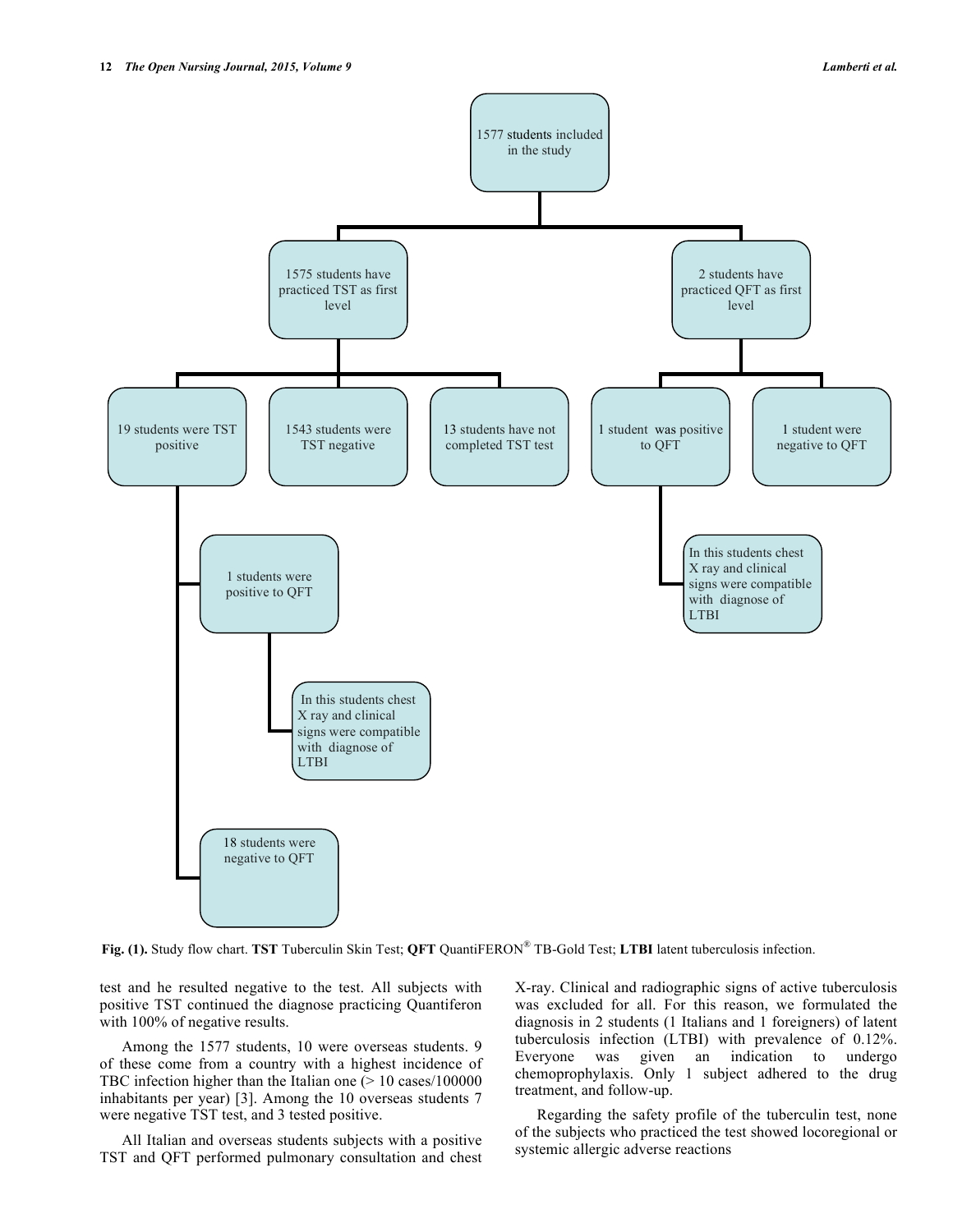

**Fig. (1).** Study flow chart. **TST** Tuberculin Skin Test; **QFT** QuantiFERON® TB-Gold Test; **LTBI** latent tuberculosis infection.

test and he resulted negative to the test. All subjects with positive TST continued the diagnose practicing Quantiferon with 100% of negative results.

Among the 1577 students, 10 were overseas students. 9 of these come from a country with a highest incidence of TBC infection higher than the Italian one (> 10 cases/100000 inhabitants per year) [3]. Among the 10 overseas students 7 were negative TST test, and 3 tested positive.

All Italian and overseas students subjects with a positive TST and QFT performed pulmonary consultation and chest X-ray. Clinical and radiographic signs of active tuberculosis was excluded for all. For this reason, we formulated the diagnosis in 2 students (1 Italians and 1 foreigners) of latent tuberculosis infection (LTBI) with prevalence of 0.12%. Everyone was given an indication to undergo chemoprophylaxis. Only 1 subject adhered to the drug treatment, and follow-up.

Regarding the safety profile of the tuberculin test, none of the subjects who practiced the test showed locoregional or systemic allergic adverse reactions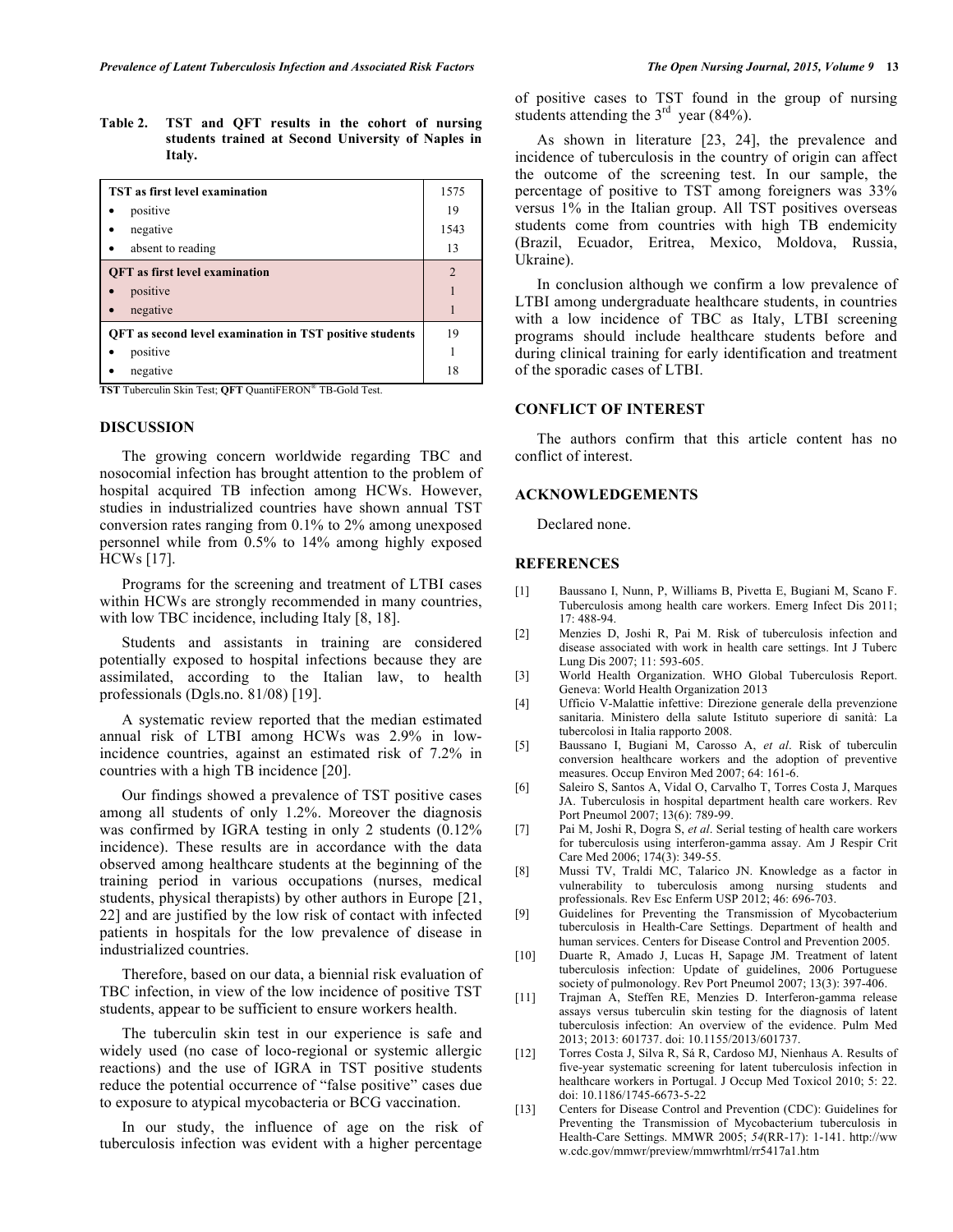**Table 2. TST and QFT results in the cohort of nursing students trained at Second University of Naples in Italy.**

| <b>TST</b> as first level examination                           | 1575           |
|-----------------------------------------------------------------|----------------|
| positive                                                        | 19             |
| negative                                                        | 1543           |
| absent to reading                                               | 13             |
| <b>OFT</b> as first level examination                           | $\mathfrak{D}$ |
| positive                                                        |                |
| negative                                                        |                |
| <b>QFT</b> as second level examination in TST positive students | 19             |
| positive                                                        |                |
| negative                                                        | 18             |

**TST** Tuberculin Skin Test; **QFT** QuantiFERON® TB-Gold Test.

### **DISCUSSION**

The growing concern worldwide regarding TBC and nosocomial infection has brought attention to the problem of hospital acquired TB infection among HCWs. However, studies in industrialized countries have shown annual TST conversion rates ranging from 0.1% to 2% among unexposed personnel while from 0.5% to 14% among highly exposed HCWs [17].

Programs for the screening and treatment of LTBI cases within HCWs are strongly recommended in many countries, with low TBC incidence, including Italy [8, 18].

Students and assistants in training are considered potentially exposed to hospital infections because they are assimilated, according to the Italian law, to health professionals (Dgls.no. 81/08) [19].

A systematic review reported that the median estimated annual risk of LTBI among HCWs was 2.9% in lowincidence countries, against an estimated risk of 7.2% in countries with a high TB incidence [20].

Our findings showed a prevalence of TST positive cases among all students of only 1.2%. Moreover the diagnosis was confirmed by IGRA testing in only 2 students (0.12% incidence). These results are in accordance with the data observed among healthcare students at the beginning of the training period in various occupations (nurses, medical students, physical therapists) by other authors in Europe [21, 22] and are justified by the low risk of contact with infected patients in hospitals for the low prevalence of disease in industrialized countries.

Therefore, based on our data, a biennial risk evaluation of TBC infection, in view of the low incidence of positive TST students, appear to be sufficient to ensure workers health.

The tuberculin skin test in our experience is safe and widely used (no case of loco-regional or systemic allergic reactions) and the use of IGRA in TST positive students reduce the potential occurrence of "false positive" cases due to exposure to atypical mycobacteria or BCG vaccination.

In our study, the influence of age on the risk of tuberculosis infection was evident with a higher percentage

of positive cases to TST found in the group of nursing students attending the  $3<sup>rd</sup>$  year (84%).

As shown in literature [23, 24], the prevalence and incidence of tuberculosis in the country of origin can affect the outcome of the screening test. In our sample, the percentage of positive to TST among foreigners was 33% versus 1% in the Italian group. All TST positives overseas students come from countries with high TB endemicity (Brazil, Ecuador, Eritrea, Mexico, Moldova, Russia, Ukraine).

In conclusion although we confirm a low prevalence of LTBI among undergraduate healthcare students, in countries with a low incidence of TBC as Italy, LTBI screening programs should include healthcare students before and during clinical training for early identification and treatment of the sporadic cases of LTBI.

# **CONFLICT OF INTEREST**

The authors confirm that this article content has no conflict of interest.

### **ACKNOWLEDGEMENTS**

Declared none.

### **REFERENCES**

- [1] Baussano I, Nunn, P, Williams B, Pivetta E, Bugiani M, Scano F. Tuberculosis among health care workers. Emerg Infect Dis 2011; 17: 488-94.
- [2] Menzies D, Joshi R, Pai M. Risk of tuberculosis infection and disease associated with work in health care settings. Int J Tuberc Lung Dis 2007; 11: 593-605.
- [3] World Health Organization. WHO Global Tuberculosis Report. Geneva: World Health Organization 2013
- [4] Ufficio V-Malattie infettive: Direzione generale della prevenzione sanitaria. Ministero della salute Istituto superiore di sanità: La tubercolosi in Italia rapporto 2008.
- [5] Baussano I, Bugiani M, Carosso A, *et al*. Risk of tuberculin conversion healthcare workers and the adoption of preventive measures. Occup Environ Med 2007; 64: 161-6.
- [6] Saleiro S, Santos A, Vidal O, Carvalho T, Torres Costa J, Marques JA. Tuberculosis in hospital department health care workers. Rev Port Pneumol 2007; 13(6): 789-99.
- [7] Pai M, Joshi R, Dogra S, *et al*. Serial testing of health care workers for tuberculosis using interferon-gamma assay. Am J Respir Crit Care Med 2006; 174(3): 349-55.
- [8] Mussi TV, Traldi MC, Talarico JN. Knowledge as a factor in vulnerability to tuberculosis among nursing students and professionals. Rev Esc Enferm USP 2012; 46: 696-703.
- [9] Guidelines for Preventing the Transmission of Mycobacterium tuberculosis in Health-Care Settings. Department of health and human services. Centers for Disease Control and Prevention 2005.
- [10] Duarte R, Amado J, Lucas H, Sapage JM. Treatment of latent tuberculosis infection: Update of guidelines, 2006 Portuguese society of pulmonology. Rev Port Pneumol 2007; 13(3): 397-406.
- [11] Trajman A, Steffen RE, Menzies D. Interferon-gamma release assays versus tuberculin skin testing for the diagnosis of latent tuberculosis infection: An overview of the evidence. Pulm Med 2013; 2013: 601737. doi: 10.1155/2013/601737.
- [12] Torres Costa J, Silva R, Sá R, Cardoso MJ, Nienhaus A. Results of five-year systematic screening for latent tuberculosis infection in healthcare workers in Portugal. J Occup Med Toxicol 2010; 5: 22. doi: 10.1186/1745-6673-5-22
- [13] Centers for Disease Control and Prevention (CDC): Guidelines for Preventing the Transmission of Mycobacterium tuberculosis in Health-Care Settings. MMWR 2005; *54*(RR-17): 1-141. http://ww w.cdc.gov/mmwr/preview/mmwrhtml/rr5417a1.htm